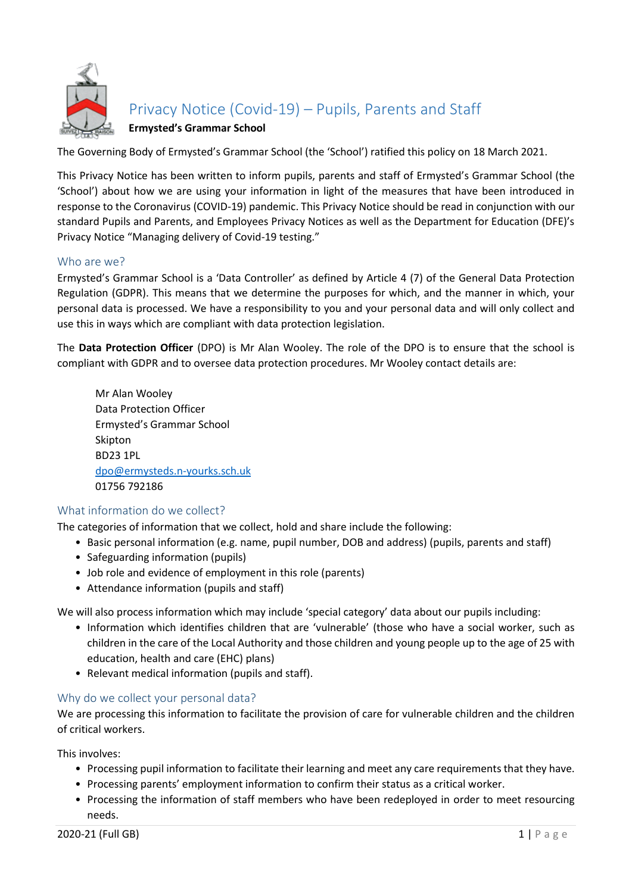

# Privacy Notice (Covid-19) – Pupils, Parents and Staff

# **Ermysted's Grammar School**

The Governing Body of Ermysted's Grammar School (the 'School') ratified this policy on 18 March 2021.

This Privacy Notice has been written to inform pupils, parents and staff of Ermysted's Grammar School (the 'School') about how we are using your information in light of the measures that have been introduced in response to the Coronavirus (COVID-19) pandemic. This Privacy Notice should be read in conjunction with our standard Pupils and Parents, and Employees Privacy Notices as well as the Department for Education (DFE)'s Privacy Notice "Managing delivery of Covid-19 testing."

# Who are we?

Ermysted's Grammar School is a 'Data Controller' as defined by Article 4 (7) of the General Data Protection Regulation (GDPR). This means that we determine the purposes for which, and the manner in which, your personal data is processed. We have a responsibility to you and your personal data and will only collect and use this in ways which are compliant with data protection legislation.

The **Data Protection Officer** (DPO) is Mr Alan Wooley. The role of the DPO is to ensure that the school is compliant with GDPR and to oversee data protection procedures. Mr Wooley contact details are:

Mr Alan Wooley Data Protection Officer Ermysted's Grammar School Skipton BD23 1PL [dpo@ermysteds.n-yourks.sch.uk](mailto:dpo@ermysteds.n-yourks.sch.uk)  01756 792186

## What information do we collect?

The categories of information that we collect, hold and share include the following:

- Basic personal information (e.g. name, pupil number, DOB and address) (pupils, parents and staff)
- Safeguarding information (pupils)
- Job role and evidence of employment in this role (parents)
- Attendance information (pupils and staff)

We will also process information which may include 'special category' data about our pupils including:

- Information which identifies children that are 'vulnerable' (those who have a social worker, such as children in the care of the Local Authority and those children and young people up to the age of 25 with education, health and care (EHC) plans)
- Relevant medical information (pupils and staff).

#### Why do we collect your personal data?

We are processing this information to facilitate the provision of care for vulnerable children and the children of critical workers.

This involves:

- Processing pupil information to facilitate their learning and meet any care requirements that they have.
- Processing parents' employment information to confirm their status as a critical worker.
- Processing the information of staff members who have been redeployed in order to meet resourcing needs.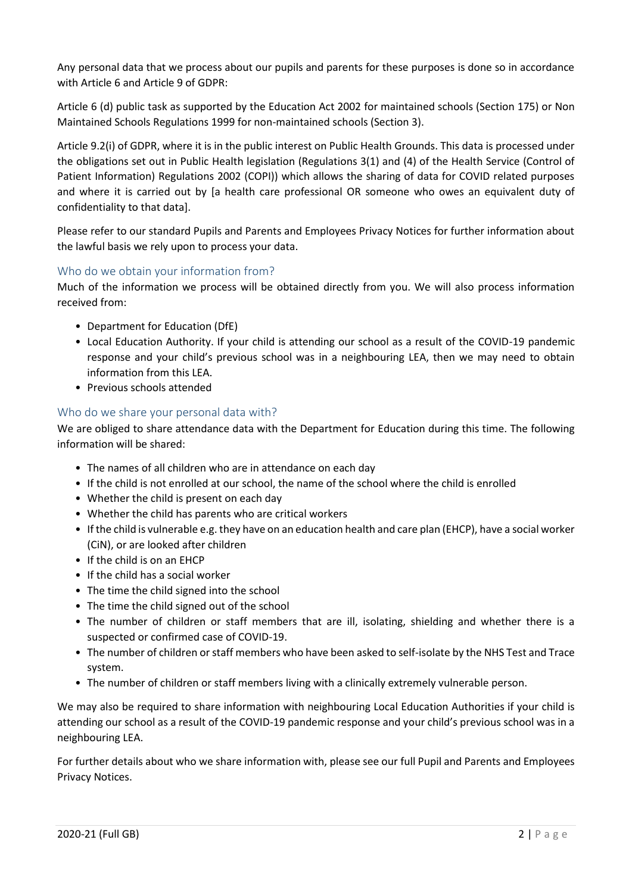Any personal data that we process about our pupils and parents for these purposes is done so in accordance with Article 6 and Article 9 of GDPR:

Article 6 (d) public task as supported by the Education Act 2002 for maintained schools (Section 175) or Non Maintained Schools Regulations 1999 for non-maintained schools (Section 3).

Article 9.2(i) of GDPR, where it is in the public interest on Public Health Grounds. This data is processed under the obligations set out in Public Health legislation (Regulations 3(1) and (4) of the Health Service (Control of Patient Information) Regulations 2002 (COPI)) which allows the sharing of data for COVID related purposes and where it is carried out by [a health care professional OR someone who owes an equivalent duty of confidentiality to that data].

Please refer to our standard Pupils and Parents and Employees Privacy Notices for further information about the lawful basis we rely upon to process your data.

# Who do we obtain your information from?

Much of the information we process will be obtained directly from you. We will also process information received from:

- Department for Education (DfE)
- Local Education Authority. If your child is attending our school as a result of the COVID-19 pandemic response and your child's previous school was in a neighbouring LEA, then we may need to obtain information from this LEA.
- Previous schools attended

# Who do we share your personal data with?

We are obliged to share attendance data with the Department for Education during this time. The following information will be shared:

- The names of all children who are in attendance on each day
- If the child is not enrolled at our school, the name of the school where the child is enrolled
- Whether the child is present on each day
- Whether the child has parents who are critical workers
- If the child is vulnerable e.g. they have on an education health and care plan (EHCP), have a social worker (CiN), or are looked after children
- If the child is on an EHCP
- If the child has a social worker
- The time the child signed into the school
- The time the child signed out of the school
- The number of children or staff members that are ill, isolating, shielding and whether there is a suspected or confirmed case of COVID-19.
- The number of children or staff members who have been asked to self-isolate by the NHS Test and Trace system.
- The number of children or staff members living with a clinically extremely vulnerable person.

We may also be required to share information with neighbouring Local Education Authorities if your child is attending our school as a result of the COVID-19 pandemic response and your child's previous school was in a neighbouring LEA.

For further details about who we share information with, please see our full Pupil and Parents and Employees Privacy Notices.